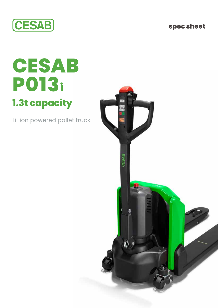**spec sheet**



## **CESAB P013i 1.3t capacity**

Li-ion powered pallet truck

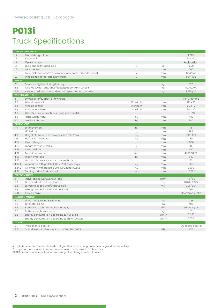## **P013i**  Truck Specifications

|                          | <b>CHARACTERISTICS</b>                                         |                                      |       |                          |
|--------------------------|----------------------------------------------------------------|--------------------------------------|-------|--------------------------|
| 1.2                      | Model designation                                              |                                      |       | P013i                    |
| 1.3                      | Power unit                                                     |                                      |       | Electric                 |
| 1.4                      | Operator type                                                  |                                      |       | Pedestrian               |
| 1.5                      | Load capacity/rated load                                       | Q                                    | kg    | 1300                     |
| 1.6                      | Load centre                                                    | $\mathsf C$                          | mm    | 600                      |
| 1.8                      | Load distance, centre axle to fork face (forks raised/lowered) | $\mathsf X$                          | mm    | 884/947                  |
| 1.9                      | Wheelbase (forks raised/lowered)                               | y                                    | mm    | 1134/1185                |
| <b>WEIGHT</b>            |                                                                |                                      |       |                          |
| 2.1                      | Service weight including battery                               |                                      | kg    | 137                      |
| 2.2                      | Axle load, with load, drive/castor/support arm wheels          |                                      | kg    | 410/50/977               |
| 2.3                      | Axle load, without load, drive/castor/support arm wheels       |                                      | kg    | 93/14/30                 |
|                          | <b>WHEELS AND TYRES</b>                                        |                                      |       |                          |
| 3.1                      | Drive/castor/support arm wheels                                |                                      |       |                          |
| 3.2                      | Wheel size front                                               | Ø x width                            | mm    | Polyurethane<br>210 x 70 |
| 3.3                      | Wheel size rear                                                | $Øx$ width                           | mm    | 80 x 70                  |
| 3.4                      | Additional wheels                                              | $Øx$ width                           |       | 80 x 30                  |
| 3.5                      | Wheels, number front/rear (x=driven wheels)                    |                                      | mm    | $1x + 2/4$               |
|                          |                                                                |                                      |       |                          |
| 3.6                      | Track width, front                                             | $\mathsf{b}_{\scriptscriptstyle 10}$ | mm    | 430                      |
| 3.7<br><b>DIMENSIONS</b> | Track width, rear                                              | $b_n$                                | mm    | 380                      |
| 4.4                      | Lift movement                                                  |                                      |       | 115                      |
|                          |                                                                | $h_{\scriptscriptstyle{2}}$          | mm    | 195                      |
|                          | Lift height                                                    | ${\sf h}_{\scriptscriptstyle 23}$    | mm    |                          |
| 4.9                      | Height of tiller arm in drive position min./max.               | $h_{1a}$                             | mm    | 700/1160                 |
| 4.15                     | Height, forks lowered                                          | $h_{13}$                             | mm    | 80                       |
| 4.19                     | Overall length                                                 | $I_1$                                | mm    | 1530                     |
| 4.20                     | Length to face of forks                                        | $\mathsf{I}_2$                       | mm    | 380                      |
| 4.21                     | Overall width                                                  | b                                    | mm    | 540                      |
| 4.22                     | Fork dimensions                                                | s/e/l                                | mm    | 47/160/1150              |
| 4.25                     | Width over forks                                               | b <sub>5</sub>                       | mm    | 540                      |
| 4.32                     | Ground clearance, centre of wheelbase                          | m <sub>2</sub>                       | mm    | 33                       |
| 4.34.1                   | Aisle width with pallets 1000 x 1200, crossways                | $A_{\text{ct}}$                      | mm    | 2127                     |
| 4.34.2                   | Aisle width with pallets 800 x 1200, lengthways                | $A_{st}$                             | mm    | 2000                     |
| 4.35                     | Turning radius (forks raised)                                  | $W_{\alpha}$                         | mm    | 1283                     |
|                          | <b>PERFORMANCES</b>                                            |                                      |       |                          |
| 5.1                      | Travel speed with/without load                                 |                                      | km/h  | 4,6/4,8                  |
| 5.2                      | Lift speed with/without load                                   |                                      | m/s   | 0,020/0,025              |
| 5.3                      | Lowering speed with/without load                               |                                      | m/s   | 0,05/0,04                |
| 5.8                      | Max. gradeability with/without load                            |                                      | $\%$  | 6/16                     |
| 5.10                     | Service brake                                                  |                                      |       | Electromagnetic          |
|                          | <b>ELECTRIC MOTOR</b>                                          |                                      |       |                          |
| 6.1                      | Drive motor, rating S2 60 min                                  |                                      | kW    | 0,65                     |
| 6.2                      | Lift motor S3 15%                                              |                                      | kW    | 0,5                      |
| 6.4                      | Battery voltage, nominal capacity $K_{\kappa}$                 |                                      | V/Ah  | Li-ion $24/36$           |
| 6.5                      | Battery weight min./max.                                       |                                      | kg    | $\overline{7}$           |
| 6.6                      | Energy consumption according to VDI cycle                      |                                      | kWh/h | 0,215                    |
|                          | Energy consumption according to EN 16 796:2016                 |                                      | kWh/h | 0,199                    |
| <b>OTHERS</b>            |                                                                |                                      |       |                          |
| 8.1                      | Type of drive control                                          |                                      |       | DC speed control         |
| 8.4                      | Sound level at driver's ear according EN 12053                 |                                      | dB(A) | 570                      |

All data is based on the mentioned configuration, other configurations may give different values Truck performance and dimensions are nominal and subject to tolerances CESAB products and specifications are subject to changes without notice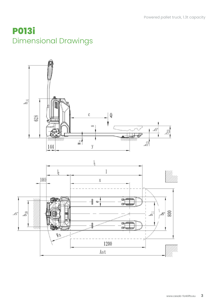## **P013i**  Dimensional Drawings